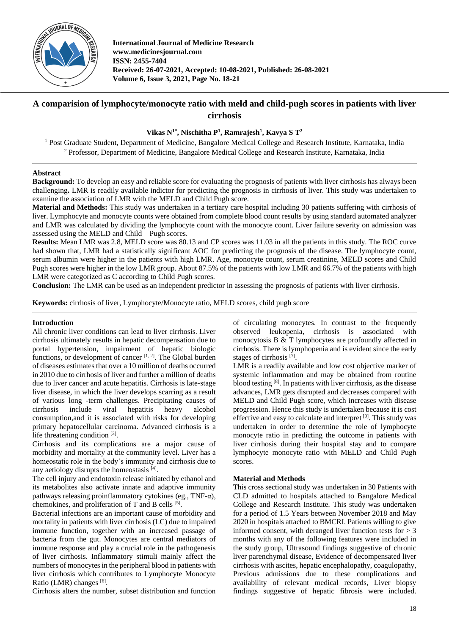

**International Journal of Medicine Research www.medicinesjournal.com ISSN: 2455-7404 Received: 26-07-2021, Accepted: 10-08-2021, Published: 26-08-2021 Volume 6, Issue 3, 2021, Page No. 18-21**

# **A comparision of lymphocyte/monocyte ratio with meld and child-pugh scores in patients with liver cirrhosis**

# **Vikas N1\* , Nischitha P<sup>1</sup> , Ramrajesh<sup>1</sup> , Kavya S T<sup>2</sup>**

<sup>1</sup> Post Graduate Student, Department of Medicine, Bangalore Medical College and Research Institute, Karnataka, India <sup>2</sup> Professor, Department of Medicine, Bangalore Medical College and Research Institute, Karnataka, India

# **Abstract**

**Background:** To develop an easy and reliable score for evaluating the prognosis of patients with liver cirrhosis has always been challenging**.** LMR is readily available indictor for predicting the prognosis in cirrhosis of liver. This study was undertaken to examine the association of LMR with the MELD and Child Pugh score.

**Material and Methods:** This study was undertaken in a tertiary care hospital including 30 patients suffering with cirrhosis of liver. Lymphocyte and monocyte counts were obtained from complete blood count results by using standard automated analyzer and LMR was calculated by dividing the lymphocyte count with the monocyte count. Liver failure severity on admission was assessed using the MELD and Child – Pugh scores.

**Results:** Mean LMR was 2.8, MELD score was 80.13 and CP scores was 11.03 in all the patients in this study. The ROC curve had shown that, LMR had a statistically significant AOC for predicting the prognosis of the disease. The lymphocyte count, serum albumin were higher in the patients with high LMR. Age, monocyte count, serum creatinine, MELD scores and Child Pugh scores were higher in the low LMR group. About 87.5% of the patients with low LMR and 66.7% of the patients with high LMR were categorized as C according to Child Pugh scores.

**Conclusion:** The LMR can be used as an independent predictor in assessing the prognosis of patients with liver cirrhosis.

**Keywords:** cirrhosis of liver, Lymphocyte/Monocyte ratio, MELD scores, child pugh score

# **Introduction**

All chronic liver conditions can lead to liver cirrhosis. Liver cirrhosis ultimately results in hepatic decompensation due to portal hypertension, impairment of hepatic biologic functions, or development of cancer  $[1, 2]$ . The Global burden of diseases estimates that over a 10 million of deaths occurred in 2010 due to cirrhosis of liver and further a million of deaths due to liver cancer and acute hepatitis. Cirrhosis is late-stage liver disease, in which the liver develops scarring as a result of various long -term challenges. Precipitating causes of cirrhosis include viral hepatitis heavy alcohol consumption,and it is associated with risks for developing primary hepatocellular carcinoma. Advanced cirrhosis is a life threatening condition [3].

Cirrhosis and its complications are a major cause of morbidity and mortality at the community level. Liver has a homeostatic role in the body's immunity and cirrhosis due to any aetiology disrupts the homeostasis [4].

The cell injury and endotoxin release initiated by ethanol and its metabolites also activate innate and adaptive immunity pathways releasing proinflammatory cytokines (eg.,  $TNF-\alpha$ ), chemokines, and proliferation of T and B cells  $[5]$ .

Bacterial infections are an important cause of morbidity and mortality in patients with liver cirrhosis (LC) due to impaired immune function, together with an increased passage of bacteria from the gut. Monocytes are central mediators of immune response and play a crucial role in the pathogenesis of liver cirrhosis. Inflammatory stimuli mainly affect the numbers of monocytes in the peripheral blood in patients with liver cirrhosis which contributes to Lymphocyte Monocyte Ratio (LMR) changes  $[6]$ .

Cirrhosis alters the number, subset distribution and function

of circulating monocytes. In contrast to the frequently observed leukopenia, cirrhosis is associated with monocytosis B & T lymphocytes are profoundly affected in cirrhosis. There is lymphopenia and is evident since the early stages of cirrhosis<sup>[7]</sup>.

LMR is a readily available and low cost objective marker of systemic inflammation and may be obtained from routine blood testing [8] . In patients with liver cirrhosis, as the disease advances, LMR gets disrupted and decreases compared with MELD and Child Pugh score, which increases with disease progression. Hence this study is undertaken because it is cost effective and easy to calculate and interpret [9]. This study was undertaken in order to determine the role of lymphocyte monocyte ratio in predicting the outcome in patients with liver cirrhosis during their hospital stay and to compare lymphocyte monocyte ratio with MELD and Child Pugh scores.

# **Material and Methods**

This cross sectional study was undertaken in 30 Patients with CLD admitted to hospitals attached to Bangalore Medical College and Research Institute. This study was undertaken for a period of 1.5 Years between November 2018 and May 2020 in hospitals attached to BMCRI. Patients willing to give informed consent, with deranged liver function tests for  $> 3$ months with any of the following features were included in the study group, Ultrasound findings suggestive of chronic liver parenchymal disease, Evidence of decompensated liver cirrhosis with ascites, hepatic encephalopathy, coagulopathy, Previous admissions due to these complications and availability of relevant medical records, Liver biopsy findings suggestive of hepatic fibrosis were included.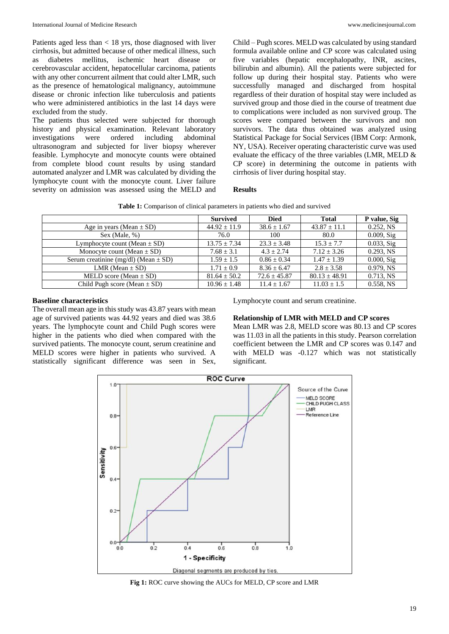Patients aged less than < 18 yrs, those diagnosed with liver cirrhosis, but admitted because of other medical illness, such as diabetes mellitus, ischemic heart disease or cerebrovascular accident, hepatocellular carcinoma, patients with any other concurrent ailment that could alter LMR, such as the presence of hematological malignancy, autoimmune disease or chronic infection like tuberculosis and patients who were administered antibiotics in the last 14 days were excluded from the study.

The patients thus selected were subjected for thorough history and physical examination. Relevant laboratory investigations were ordered including abdominal ultrasonogram and subjected for liver biopsy wherever feasible. Lymphocyte and monocyte counts were obtained from complete blood count results by using standard automated analyzer and LMR was calculated by dividing the lymphocyte count with the monocyte count. Liver failure severity on admission was assessed using the MELD and Child – Pugh scores. MELD was calculated by using standard formula available online and CP score was calculated using five variables (hepatic encephalopathy, INR, ascites, bilirubin and albumin). All the patients were subjected for follow up during their hospital stay. Patients who were successfully managed and discharged from hospital regardless of their duration of hospital stay were included as survived group and those died in the course of treatment due to complications were included as non survived group. The scores were compared between the survivors and non survivors. The data thus obtained was analyzed using Statistical Package for Social Services (IBM Corp: Armonk, NY, USA). Receiver operating characteristic curve was used evaluate the efficacy of the three variables (LMR, MELD & CP score) in determining the outcome in patients with cirrhosis of liver during hospital stay.

## **Results**

|                                          | <b>Survived</b>  | <b>Died</b>      | <b>Total</b>      | P value, Sig |
|------------------------------------------|------------------|------------------|-------------------|--------------|
| Age in years (Mean $\pm$ SD)             | $44.92 \pm 11.9$ | $38.6 \pm 1.67$  | $43.87 \pm 11.1$  | $0.252$ , NS |
| Sex (Male, $%$ )                         | 76.0             | 100              | 80.0              | 0.009, Sig   |
| Lymphocyte count (Mean $\pm$ SD)         | $13.75 \pm 7.34$ | $23.3 + 3.48$    | $15.3 + 7.7$      | 0.033, Sig   |
| Monocyte count (Mean $\pm$ SD)           | $7.68 \pm 3.1$   | $4.3 + 2.74$     | $7.12 + 3.26$     | $0.293$ , NS |
| Serum creatinine (mg/dl) (Mean $\pm$ SD) | $1.59 + 1.5$     | $0.86 \pm 0.34$  | $1.47 \pm 1.39$   | 0.000, Sig   |
| LMR (Mean $\pm$ SD)                      | $1.71 \pm 0.9$   | $8.36 \pm 6.47$  | $2.8 \pm 3.58$    | 0.979. NS    |
| MELD score (Mean $\pm$ SD)               | $81.64 \pm 50.2$ | $72.6 \pm 45.87$ | $80.13 \pm 48.91$ | 0.713, NS    |
| Child Pugh score (Mean $\pm$ SD)         | $10.96 \pm 1.48$ | $11.4 \pm 1.67$  | $11.03 \pm 1.5$   | 0.558, NS    |

## **Baseline characteristics**

The overall mean age in this study was 43.87 years with mean age of survived patients was 44.92 years and died was 38.6 years. The lymphocyte count and Child Pugh scores were higher in the patients who died when compared with the survived patients. The monocyte count, serum creatinine and MELD scores were higher in patients who survived. A statistically significant difference was seen in Sex,

Lymphocyte count and serum creatinine.

## **Relationship of LMR with MELD and CP scores**

Mean LMR was 2.8, MELD score was 80.13 and CP scores was 11.03 in all the patients in this study. Pearson correlation coefficient between the LMR and CP scores was 0.147 and with MELD was -0.127 which was not statistically significant.



**Fig 1:** ROC curve showing the AUCs for MELD, CP score and LMR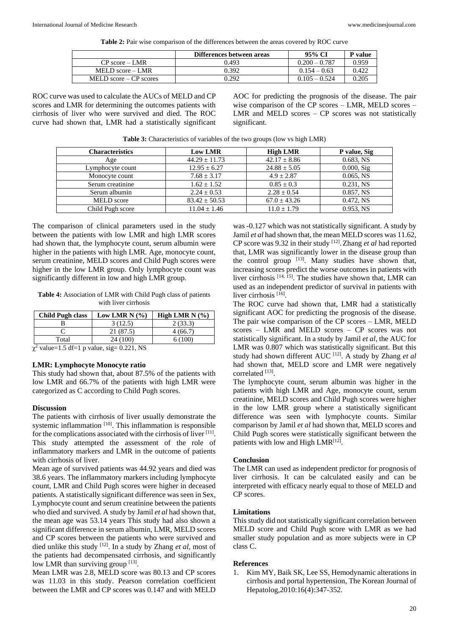Table 2: Pair wise comparison of the differences between the areas covered by ROC curve

|                          | Differences between areas | 95% CI          | P value |
|--------------------------|---------------------------|-----------------|---------|
| $CP$ score $- LMR$       | 0.493                     | $0.200 - 0.787$ | 0.959   |
| $MELD score - LMR$       | 0.392                     | $0.154 - 0.63$  | 0.422   |
| $MELD score - CP scores$ | 0.292                     | $0.105 - 0.524$ | 0.205   |

ROC curve was used to calculate the AUCs of MELD and CP scores and LMR for determining the outcomes patients with cirrhosis of liver who were survived and died. The ROC curve had shown that, LMR had a statistically significant

AOC for predicting the prognosis of the disease. The pair wise comparison of the CP scores – LMR, MELD scores – LMR and MELD scores – CP scores was not statistically significant.

| Table 3: Characteristics of variables of the two groups (low vs high LMR) |  |  |
|---------------------------------------------------------------------------|--|--|
|                                                                           |  |  |

| <b>Characteristics</b> | <b>Low LMR</b>    | <b>High LMR</b>  | P value, Sig |
|------------------------|-------------------|------------------|--------------|
| Age                    | $44.29 \pm 11.73$ | $42.17 \pm 8.86$ | $0.683$ , NS |
| Lymphocyte count       | $12.95 \pm 6.27$  | $24.88 \pm 5.05$ | 0.000, Sig   |
| Monocyte count         | $7.68 \pm 3.17$   | $4.9 \pm 2.87$   | $0.065$ , NS |
| Serum creatinine       | $1.62 + 1.52$     | $0.85 \pm 0.3$   | $0.231$ , NS |
| Serum albumin          | $2.24 \pm 0.53$   | $2.28 \pm 0.54$  | 0.857, NS    |
| <b>MELD</b> score      | $83.42 \pm 50.53$ | $67.0 \pm 43.26$ | $0.472$ , NS |
| Child Pugh score       | $11.04 \pm 1.46$  | $11.0 \pm 1.79$  | $0.953$ , NS |

The comparison of clinical parameters used in the study between the patients with low LMR and high LMR scores had shown that, the lymphocyte count, serum albumin were higher in the patients with high LMR. Age, monocyte count, serum creatinine, MELD scores and Child Pugh scores were higher in the low LMR group. Only lymphocyte count was significantly different in low and high LMR group.

**Table 4:** Association of LMR with Child Pugh class of patients with liver cirrhosis

| <b>Child Pugh class</b>                      | Low LMR N $(\% )$ | High LMR $N$ $(\%)$ |
|----------------------------------------------|-------------------|---------------------|
|                                              | 3(12.5)           | 2(33.3)             |
|                                              | 21 (87.5)         | 4(66.7)             |
| Total                                        | 24 (100)          | 6(100)              |
| $\mu^2$ value 1.5 df -1 p value sig 0.221 NS |                   |                     |

 $\chi^2$  value=1.5 df=1 p value, sig= 0.221, NS

## **LMR: Lymphocyte Monocyte ratio**

This study had shown that, about 87.5% of the patients with low LMR and 66.7% of the patients with high LMR were categorized as C according to Child Pugh scores.

### **Discussion**

The patients with cirrhosis of liver usually demonstrate the systemic inflammation<sup>[10]</sup>. This inflammation is responsible for the complications associated with the cirrhosis of liver [11]. This study attempted the assessment of the role of inflammatory markers and LMR in the outcome of patients with cirrhosis of liver.

Mean age of survived patients was 44.92 years and died was 38.6 years. The inflammatory markers including lymphocyte count, LMR and Child Pugh scores were higher in deceased patients. A statistically significant difference was seen in Sex, Lymphocyte count and serum creatinine between the patients who died and survived. A study by Jamil *et al* had shown that, the mean age was 53.14 years This study had also shown a significant difference in serum albumin, LMR, MELD scores and CP scores between the patients who were survived and died unlike this study [12] . In a study by Zhang *et al*, most of the patients had decompensated cirrhosis, and significantly low LMR than surviving group  $^{[13]}$ .

Mean LMR was 2.8, MELD score was 80.13 and CP scores was 11.03 in this study. Pearson correlation coefficient between the LMR and CP scores was 0.147 and with MELD

was -0.127 which was not statistically significant. A study by Jamil *et al* had shown that, the mean MELD scores was 11.62, CP score was 9.32 in their study [12] .Zhang *et al* had reported that, LMR was significantly lower in the disease group than the control group  $[13]$ . Many studies have shown that, increasing scores predict the worse outcomes in patients with liver cirrhosis  $[14, 15]$ . The studies have shown that, LMR can used as an independent predictor of survival in patients with liver cirrhosis<sup>[16]</sup>.

The ROC curve had shown that, LMR had a statistically significant AOC for predicting the prognosis of the disease. The pair wise comparison of the CP scores – LMR, MELD scores – LMR and MELD scores – CP scores was not statistically significant. In a study by Jamil *et al*, the AUC for LMR was 0.807 which was statistically significant. But this study had shown different AUC<sup>[12]</sup>. A study by Zhang et al had shown that, MELD score and LMR were negatively correlated [13].

The lymphocyte count, serum albumin was higher in the patients with high LMR and Age, monocyte count, serum creatinine, MELD scores and Child Pugh scores were higher in the low LMR group where a statistically significant difference was seen with lymphocyte counts. Similar comparison by Jamil *et al* had shown that, MELD scores and Child Pugh scores were statistically significant between the patients with low and High  $LMR^{[12]}$ .

#### **Conclusion**

The LMR can used as independent predictor for prognosis of liver cirrhosis. It can be calculated easily and can be interpreted with efficacy nearly equal to those of MELD and CP scores.

#### **Limitations**

This study did not statistically significant correlation between MELD score and Child Pugh score with LMR as we had smaller study population and as more subjects were in CP class C.

#### **References**

1. Kim MY, Baik SK, Lee SS, Hemodynamic alterations in cirrhosis and portal hypertension, The Korean Journal of Hepatolog,2010:16(4):347-352.